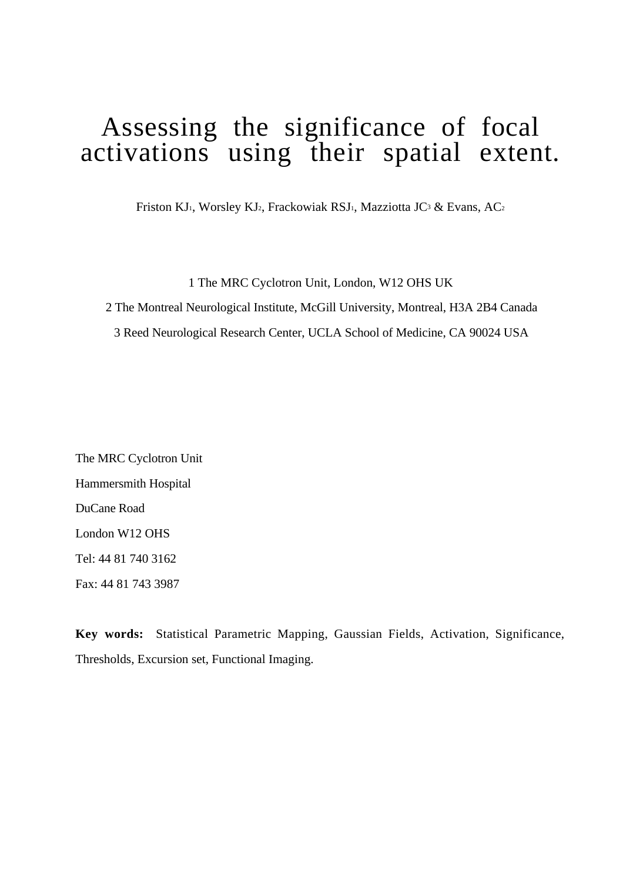# Assessing the significance of focal activations using their spatial extent.

Friston KJ1, Worsley KJ2, Frackowiak RSJ1, Mazziotta JC3 & Evans, AC2

1 The MRC Cyclotron Unit, London, W12 OHS UK

2 The Montreal Neurological Institute, McGill University, Montreal, H3A 2B4 Canada

3 Reed Neurological Research Center, UCLA School of Medicine, CA 90024 USA

The MRC Cyclotron Unit Hammersmith Hospital DuCane Road London W12 OHS Tel: 44 81 740 3162 Fax: 44 81 743 3987

**Key words:** Statistical Parametric Mapping, Gaussian Fields, Activation, Significance, Thresholds, Excursion set, Functional Imaging.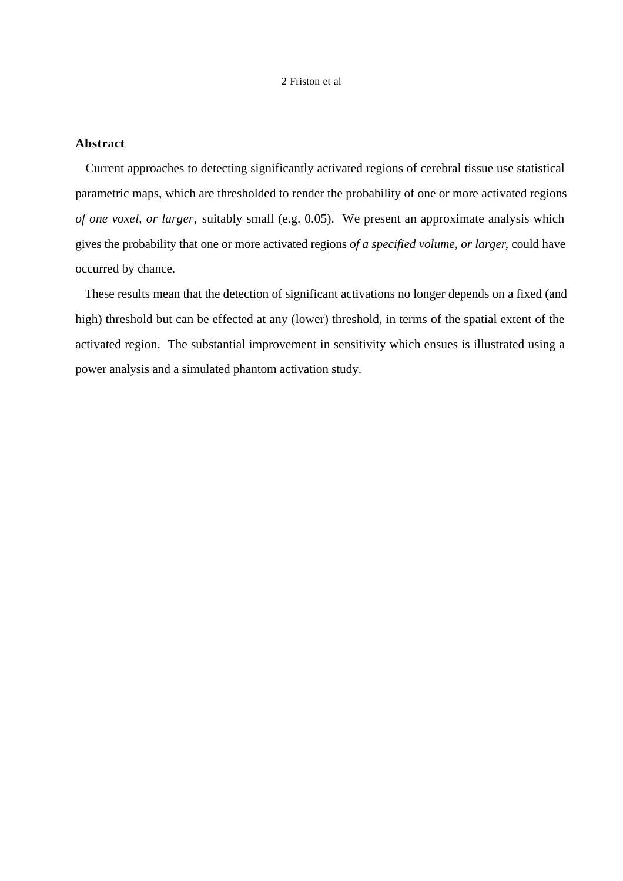# **Abstract**

 Current approaches to detecting significantly activated regions of cerebral tissue use statistical parametric maps, which are thresholded to render the probability of one or more activated regions *of one voxel, or larger,* suitably small (e.g. 0.05). We present an approximate analysis which gives the probability that one or more activated regions *of a specified volume, or larger*, could have occurred by chance.

 These results mean that the detection of significant activations no longer depends on a fixed (and high) threshold but can be effected at any (lower) threshold, in terms of the spatial extent of the activated region. The substantial improvement in sensitivity which ensues is illustrated using a power analysis and a simulated phantom activation study.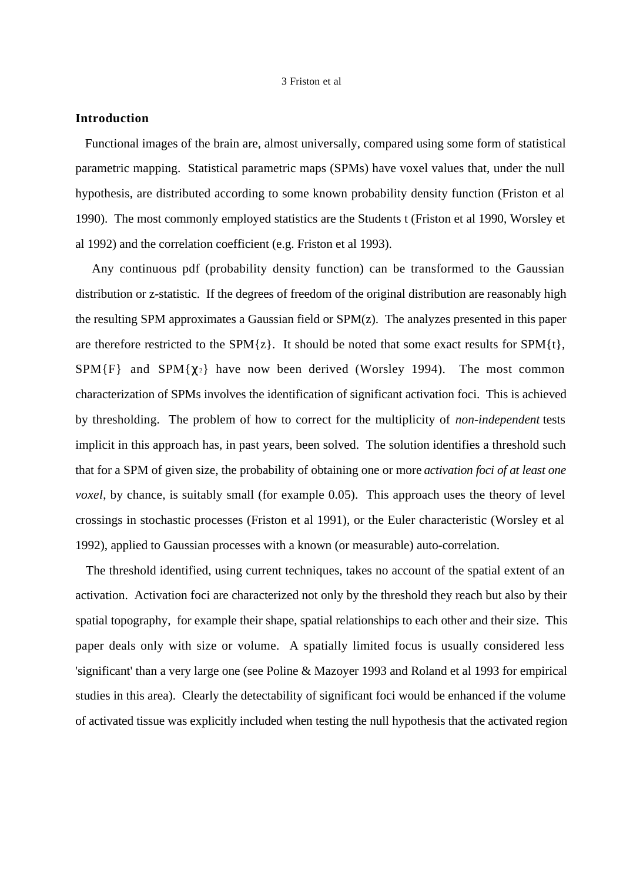# **Introduction**

 Functional images of the brain are, almost universally, compared using some form of statistical parametric mapping. Statistical parametric maps (SPMs) have voxel values that, under the null hypothesis, are distributed according to some known probability density function (Friston et al 1990). The most commonly employed statistics are the Students t (Friston et al 1990, Worsley et al 1992) and the correlation coefficient (e.g. Friston et al 1993).

 Any continuous pdf (probability density function) can be transformed to the Gaussian distribution or z-statistic. If the degrees of freedom of the original distribution are reasonably high the resulting SPM approximates a Gaussian field or SPM(z). The analyzes presented in this paper are therefore restricted to the SPM $\{z\}$ . It should be noted that some exact results for SPM $\{t\}$ , SPM{F} and SPM{ $\gamma_2$ } have now been derived (Worsley 1994). The most common characterization of SPMs involves the identification of significant activation foci. This is achieved by thresholding. The problem of how to correct for the multiplicity of *non-independent* tests implicit in this approach has, in past years, been solved. The solution identifies a threshold such that for a SPM of given size, the probability of obtaining one or more *activation foci of at least one voxel*, by chance, is suitably small (for example 0.05). This approach uses the theory of level crossings in stochastic processes (Friston et al 1991), or the Euler characteristic (Worsley et al 1992), applied to Gaussian processes with a known (or measurable) auto-correlation.

 The threshold identified, using current techniques, takes no account of the spatial extent of an activation. Activation foci are characterized not only by the threshold they reach but also by their spatial topography, for example their shape, spatial relationships to each other and their size. This paper deals only with size or volume. A spatially limited focus is usually considered less 'significant' than a very large one (see Poline & Mazoyer 1993 and Roland et al 1993 for empirical studies in this area). Clearly the detectability of significant foci would be enhanced if the volume of activated tissue was explicitly included when testing the null hypothesis that the activated region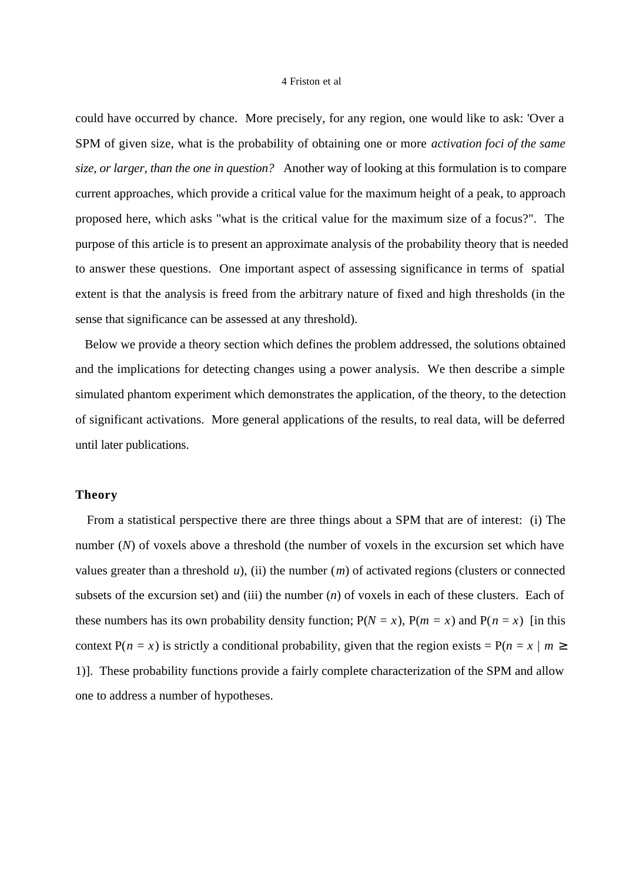could have occurred by chance. More precisely, for any region, one would like to ask: 'Over a SPM of given size, what is the probability of obtaining one or more *activation foci of the same size, or larger, than the one in question?* Another way of looking at this formulation is to compare current approaches, which provide a critical value for the maximum height of a peak, to approach proposed here, which asks "what is the critical value for the maximum size of a focus?". The purpose of this article is to present an approximate analysis of the probability theory that is needed to answer these questions. One important aspect of assessing significance in terms of spatial extent is that the analysis is freed from the arbitrary nature of fixed and high thresholds (in the sense that significance can be assessed at any threshold).

 Below we provide a theory section which defines the problem addressed, the solutions obtained and the implications for detecting changes using a power analysis. We then describe a simple simulated phantom experiment which demonstrates the application, of the theory, to the detection of significant activations. More general applications of the results, to real data, will be deferred until later publications.

## **Theory**

 From a statistical perspective there are three things about a SPM that are of interest: (i) The number (*N*) of voxels above a threshold (the number of voxels in the excursion set which have values greater than a threshold *u*), (ii) the number (*m*) of activated regions (clusters or connected subsets of the excursion set) and (iii) the number (*n*) of voxels in each of these clusters. Each of these numbers has its own probability density function;  $P(N = x)$ ,  $P(m = x)$  and  $P(n = x)$  [in this context  $P(n = x)$  is strictly a conditional probability, given that the region exists =  $P(n = x \mid m \ge$ 1)]. These probability functions provide a fairly complete characterization of the SPM and allow one to address a number of hypotheses.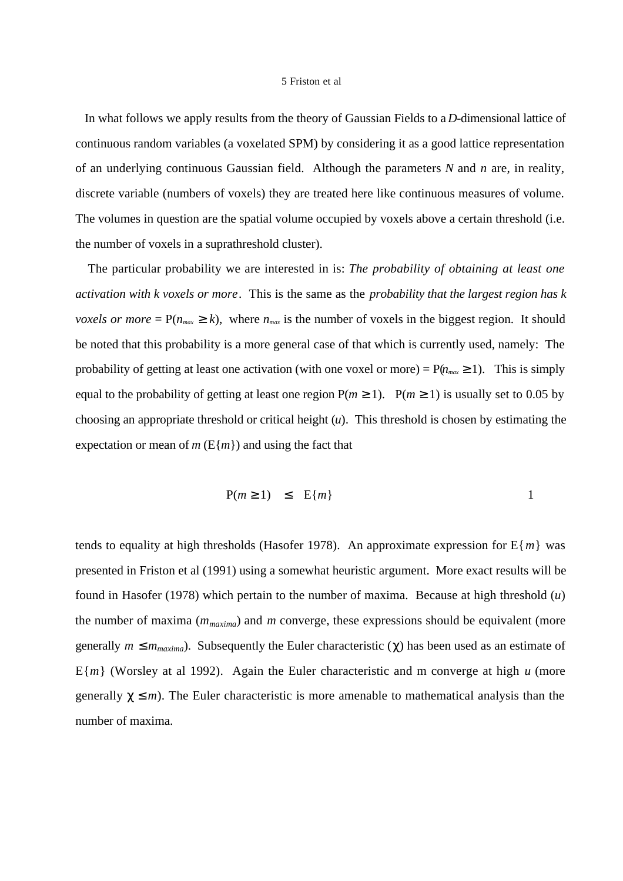In what follows we apply results from the theory of Gaussian Fields to a *D*-dimensional lattice of continuous random variables (a voxelated SPM) by considering it as a good lattice representation of an underlying continuous Gaussian field. Although the parameters *N* and *n* are, in reality, discrete variable (numbers of voxels) they are treated here like continuous measures of volume. The volumes in question are the spatial volume occupied by voxels above a certain threshold (i.e. the number of voxels in a suprathreshold cluster).

 The particular probability we are interested in is: *The probability of obtaining at least one activation with k voxels or more*. This is the same as the *probability that the largest region has k voxels or more* =  $P(n_{max} \ge k)$ , where  $n_{max}$  is the number of voxels in the biggest region. It should be noted that this probability is a more general case of that which is currently used, namely: The probability of getting at least one activation (with one voxel or more) =  $P(n_{max} \ge 1)$ . This is simply equal to the probability of getting at least one region  $P(m \ge 1)$ .  $P(m \ge 1)$  is usually set to 0.05 by choosing an appropriate threshold or critical height (*u*). This threshold is chosen by estimating the expectation or mean of  $m(E{m})$  and using the fact that

$$
P(m \ge 1) \le E\{m\} \qquad 1
$$

tends to equality at high thresholds (Hasofer 1978). An approximate expression for  $E{m}$  was presented in Friston et al (1991) using a somewhat heuristic argument. More exact results will be found in Hasofer (1978) which pertain to the number of maxima. Because at high threshold (*u*) the number of maxima  $(m_{maxima})$  and *m* converge, these expressions should be equivalent (more generally  $m \le m_{maxima}$ ). Subsequently the Euler characteristic ( $\chi$ ) has been used as an estimate of E{*m*} (Worsley at al 1992). Again the Euler characteristic and m converge at high *u* (more generally  $\gamma \leq m$ ). The Euler characteristic is more amenable to mathematical analysis than the number of maxima.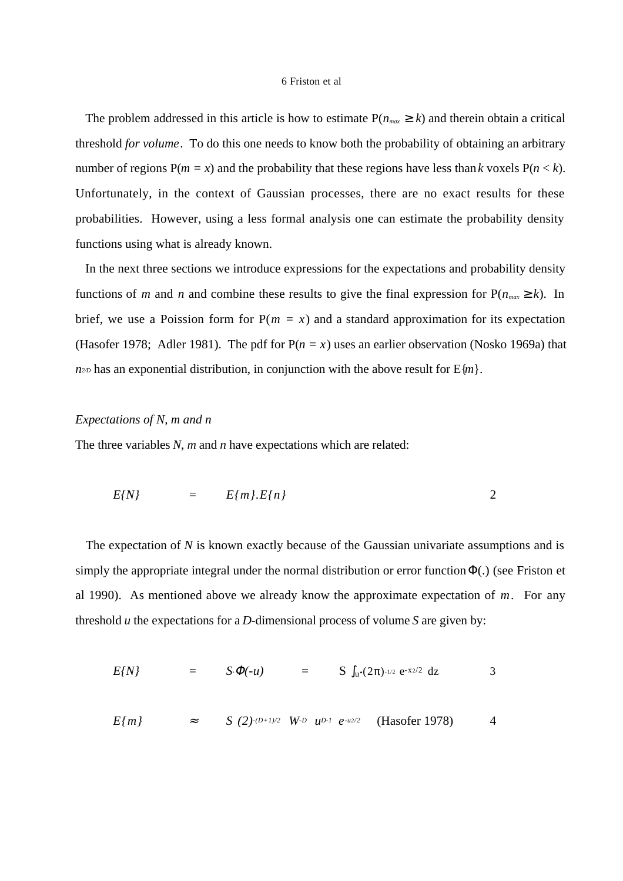The problem addressed in this article is how to estimate  $P(n_{max} \ge k)$  and therein obtain a critical threshold *for volume*. To do this one needs to know both the probability of obtaining an arbitrary number of regions  $P(m = x)$  and the probability that these regions have less than *k* voxels  $P(n < k)$ . Unfortunately, in the context of Gaussian processes, there are no exact results for these probabilities. However, using a less formal analysis one can estimate the probability density functions using what is already known.

 In the next three sections we introduce expressions for the expectations and probability density functions of *m* and *n* and combine these results to give the final expression for  $P(n_{max} \ge k)$ . In brief, we use a Poission form for  $P(m = x)$  and a standard approximation for its expectation (Hasofer 1978; Adler 1981). The pdf for  $P(n = x)$  uses an earlier observation (Nosko 1969a) that  $n_{2D}$  has an exponential distribution, in conjunction with the above result for  $E{m}$ .

## *Expectations of N, m and n*

The three variables *N*, *m* and *n* have expectations which are related:

$$
E\{N\} = E\{m\}.E\{n\} \qquad 2
$$

The expectation of *N* is known exactly because of the Gaussian univariate assumptions and is simply the appropriate integral under the normal distribution or error function  $\Phi(.)$  (see Friston et al 1990). As mentioned above we already know the approximate expectation of *m*. For any threshold *u* the expectations for a *D*-dimensional process of volume *S* are given by:

$$
E\{N\} = S \cdot \Phi(-u) = S \int_{u} (2\pi)^{1/2} e^{-x^2/2} dz
$$
 3

$$
E\{m\} \approx S \ (2)^{-(D+1)/2} \ W^{D} \ u^{D-1} \ e^{-u^{2}/2} \ (Hasofer 1978) \ 4
$$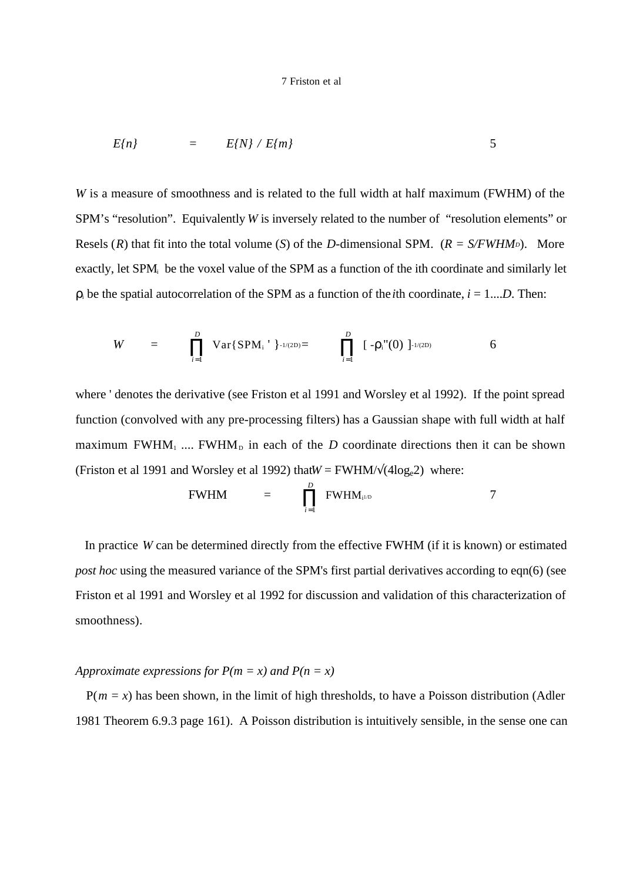$$
E\{n\} = E\{N\} / E\{m\}
$$
 5

*W* is a measure of smoothness and is related to the full width at half maximum (FWHM) of the SPM's "resolution". Equivalently *W* is inversely related to the number of "resolution elements" or Resels  $(R)$  that fit into the total volume  $(S)$  of the *D*-dimensional SPM.  $(R = S/FWHM<sub>D</sub>)$ . More exactly, let SPM<sub>i</sub> be the voxel value of the SPM as a function of the ith coordinate and similarly let  $\rho_i$  be the spatial autocorrelation of the SPM as a function of the *i*th coordinate,  $i = 1...D$ . Then:

$$
W = \prod_{i=1}^{D} \text{Var}\{\text{SPM}_{i} \mid \}_{-1/(2D)} = \prod_{i=1}^{D} [-\rho_{i}''(0)]_{-1/(2D)} \qquad \qquad 6
$$

where ' denotes the derivative (see Friston et al 1991 and Worsley et al 1992). If the point spread function (convolved with any pre-processing filters) has a Gaussian shape with full width at half maximum FWHM<sub>1</sub> .... FWHM<sub>D</sub> in each of the *D* coordinate directions then it can be shown (Friston et al 1991 and Worsley et al 1992) that $W = FWHM/\sqrt{(4\log_e 2)}$  where:

$$
\text{FWHM} \quad = \quad \prod_{i=1}^{D} \text{FWHM}_{i^{1/D}} \tag{7}
$$

 In practice *W* can be determined directly from the effective FWHM (if it is known) or estimated *post hoc* using the measured variance of the SPM's first partial derivatives according to eqn(6) (see Friston et al 1991 and Worsley et al 1992 for discussion and validation of this characterization of smoothness).

## *Approximate expressions for*  $P(m = x)$  *and*  $P(n = x)$

 $P(m = x)$  has been shown, in the limit of high thresholds, to have a Poisson distribution (Adler 1981 Theorem 6.9.3 page 161). A Poisson distribution is intuitively sensible, in the sense one can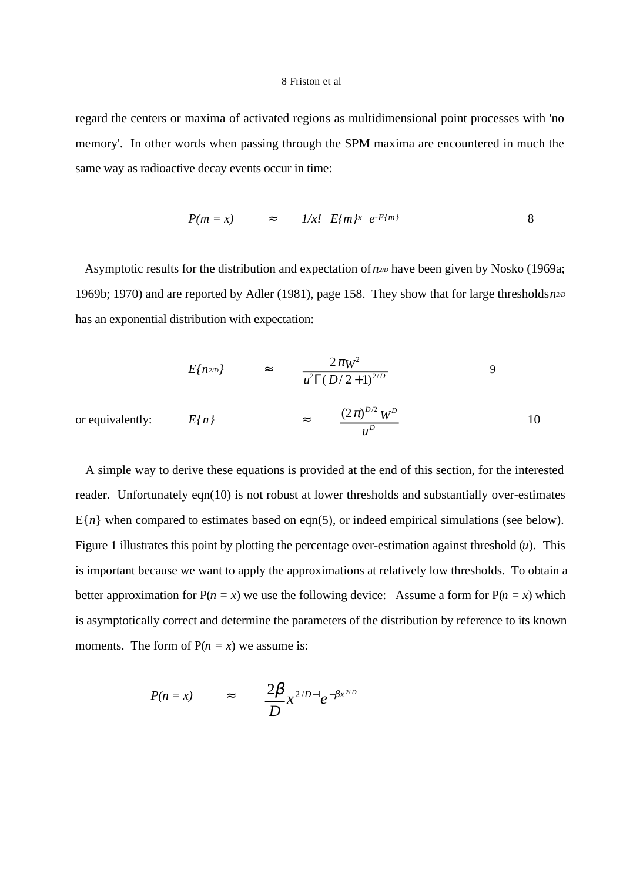regard the centers or maxima of activated regions as multidimensional point processes with 'no memory'. In other words when passing through the SPM maxima are encountered in much the same way as radioactive decay events occur in time:

$$
P(m = x) \qquad \approx \qquad 1/x! \quad E\{m\}^x \quad e^{-E\{m\}}
$$

Asymptotic results for the distribution and expectation of  $n_{2D}$  have been given by Nosko (1969a; 1969b; 1970) and are reported by Adler (1981), page 158. They show that for large thresholds *n2/D* has an exponential distribution with expectation:

$$
E{n_{2D}} = \frac{2\pi W^2}{u^2 \Gamma(D/2+1)^{2/D}} \tag{9}
$$

or equivalently:  $E\{n\}$   $\approx$   $\frac{(2\pi)^{D/2} W^D}{P}$ *W u* 10

 A simple way to derive these equations is provided at the end of this section, for the interested reader. Unfortunately eqn(10) is not robust at lower thresholds and substantially over-estimates  $E{n}$  when compared to estimates based on eqn(5), or indeed empirical simulations (see below). Figure 1 illustrates this point by plotting the percentage over-estimation against threshold  $(u)$ . This is important because we want to apply the approximations at relatively low thresholds. To obtain a better approximation for  $P(n = x)$  we use the following device: Assume a form for  $P(n = x)$  which is asymptotically correct and determine the parameters of the distribution by reference to its known moments. The form of  $P(n = x)$  we assume is:

$$
P(n = x) \qquad \approx \qquad \frac{2\beta}{D} x^{2/D-1} e^{-\beta x^{2/D}}
$$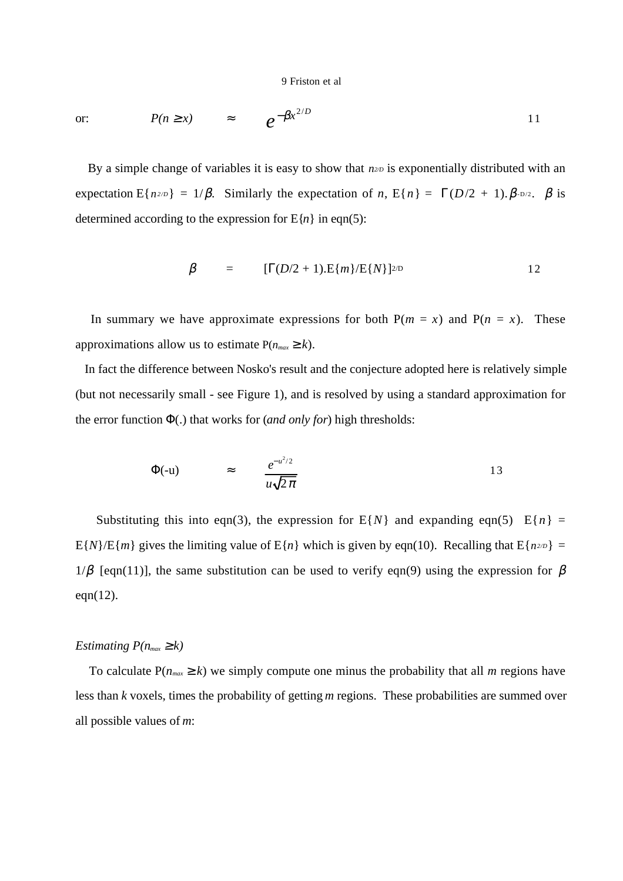or: 
$$
P(n \ge x) \approx e^{-\beta x^{2/D}}
$$
 11

By a simple change of variables it is easy to show that  $n^{2D}$  is exponentially distributed with an expectation E{ $n^{2/D}$ } = 1/β. Similarly the expectation of *n*, E{ $n$ } =  $\Gamma(D/2 + 1)$ .  $\beta$ - $D/2$ .  $\beta$  is determined according to the expression for  $E{n}$  in eqn(5):

$$
\beta = [\Gamma(D/2+1).E\{m\}/E\{N\}]^{2/D} \qquad 12
$$

In summary we have approximate expressions for both  $P(m = x)$  and  $P(n = x)$ . These approximations allow us to estimate  $P(n_{max} \ge k)$ .

 In fact the difference between Nosko's result and the conjecture adopted here is relatively simple (but not necessarily small - see Figure 1), and is resolved by using a standard approximation for the error function Φ(.) that works for (*and only for*) high thresholds:

$$
\Phi(-u) \qquad \approx \qquad \frac{e^{-u^2/2}}{u\sqrt{2\pi}} \tag{13}
$$

Substituting this into eqn(3), the expression for  $E\{N\}$  and expanding eqn(5)  $E\{n\} =$ E{*N*}/E{*m*} gives the limiting value of E{*n*} which is given by eqn(10). Recalling that E{*n2/D*} =  $1/\beta$  [eqn(11)], the same substitution can be used to verify eqn(9) using the expression for β eqn(12).

## *Estimating*  $P(n_{max} \geq k)$

To calculate  $P(n_{max} \ge k)$  we simply compute one minus the probability that all *m* regions have less than *k* voxels, times the probability of getting *m* regions. These probabilities are summed over all possible values of *m*: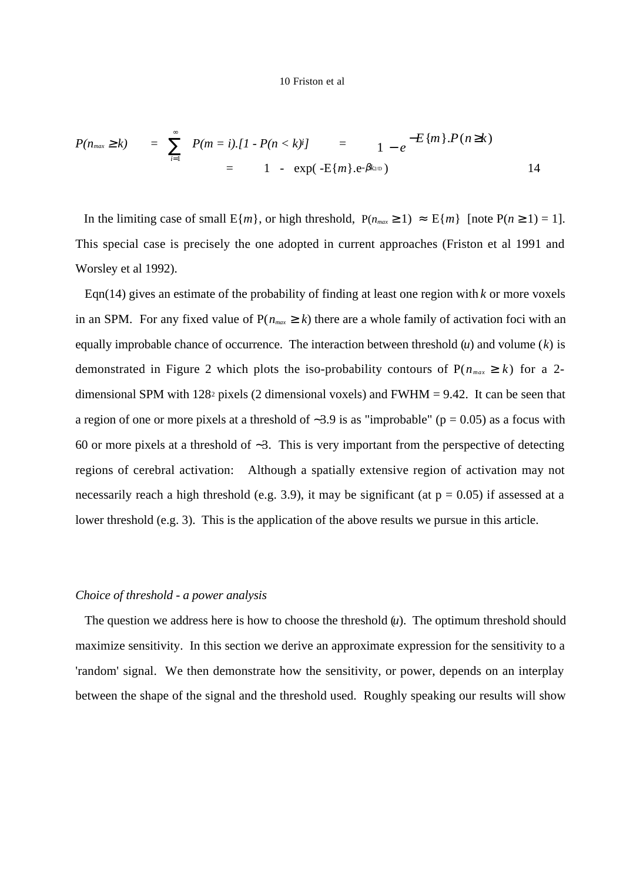$$
P(n_{max} \ge k) = \sum_{i=1}^{\infty} P(m = i) \cdot [1 - P(n < k)i] = 1 - e^{-E\{m\}} \cdot P(n \ge k)
$$
  
= 1 - exp(-E\{m\} \cdot e^{-\beta k\_{2D}}) 14

In the limiting case of small  $E{m}$ , or high threshold,  $P(n_{max} \ge 1) \approx E{m}$  [note  $P(n \ge 1) = 1$ ]. This special case is precisely the one adopted in current approaches (Friston et al 1991 and Worsley et al 1992).

 Eqn(14) gives an estimate of the probability of finding at least one region with *k* or more voxels in an SPM. For any fixed value of  $P(n_{max} \ge k)$  there are a whole family of activation foci with an equally improbable chance of occurrence. The interaction between threshold (*u*) and volume (*k*) is demonstrated in Figure 2 which plots the iso-probability contours of  $P(n_{max} \ge k)$  for a 2dimensional SPM with 128<sup>2</sup> pixels (2 dimensional voxels) and  $FWHM = 9.42$ . It can be seen that a region of one or more pixels at a threshold of ∼3.9 is as "improbable" (p = 0.05) as a focus with 60 or more pixels at a threshold of ∼3. This is very important from the perspective of detecting regions of cerebral activation: Although a spatially extensive region of activation may not necessarily reach a high threshold (e.g. 3.9), it may be significant (at  $p = 0.05$ ) if assessed at a lower threshold (e.g. 3). This is the application of the above results we pursue in this article.

## *Choice of threshold - a power analysis*

The question we address here is how to choose the threshold  $(u)$ . The optimum threshold should maximize sensitivity. In this section we derive an approximate expression for the sensitivity to a 'random' signal. We then demonstrate how the sensitivity, or power, depends on an interplay between the shape of the signal and the threshold used. Roughly speaking our results will show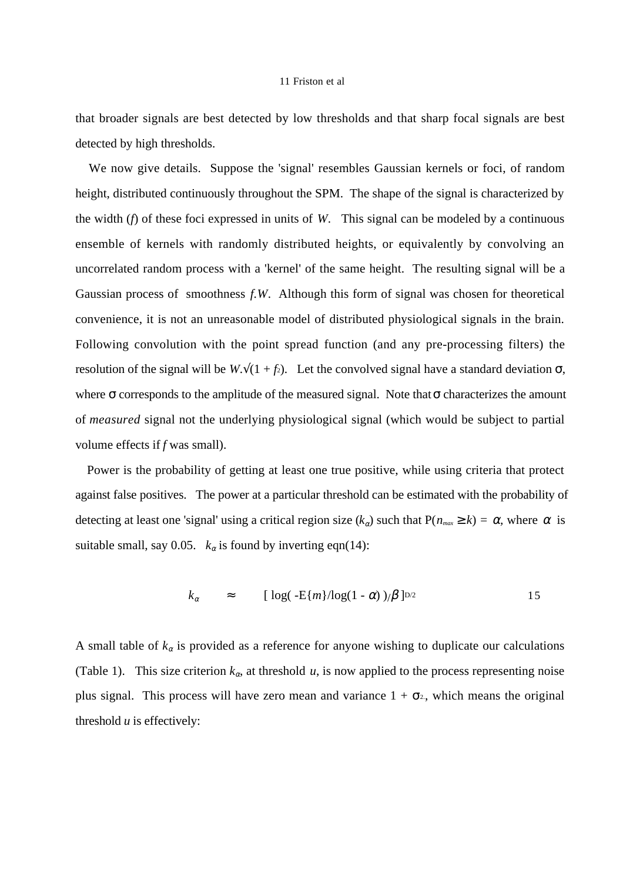that broader signals are best detected by low thresholds and that sharp focal signals are best detected by high thresholds.

 We now give details. Suppose the 'signal' resembles Gaussian kernels or foci, of random height, distributed continuously throughout the SPM. The shape of the signal is characterized by the width (*f*) of these foci expressed in units of *W*. This signal can be modeled by a continuous ensemble of kernels with randomly distributed heights, or equivalently by convolving an uncorrelated random process with a 'kernel' of the same height. The resulting signal will be a Gaussian process of smoothness *f.W*. Although this form of signal was chosen for theoretical convenience, it is not an unreasonable model of distributed physiological signals in the brain. Following convolution with the point spread function (and any pre-processing filters) the resolution of the signal will be  $W.\sqrt{(1 + f_2)}$ . Let the convolved signal have a standard deviation  $\sigma$ , where  $\sigma$  corresponds to the amplitude of the measured signal. Note that  $\sigma$  characterizes the amount of *measured* signal not the underlying physiological signal (which would be subject to partial volume effects if *f* was small).

 Power is the probability of getting at least one true positive, while using criteria that protect against false positives. The power at a particular threshold can be estimated with the probability of detecting at least one 'signal' using a critical region size  $(k_{\alpha})$  such that  $P(n_{max} \ge k) = \alpha$ , where  $\alpha$  is suitable small, say 0.05.  $k_{\alpha}$  is found by inverting eqn(14):

$$
k_{\alpha} \approx \left[ \log( -\mathcal{E}\{m\}/\log(1-\alpha) \, )/\beta \, \right]^{D/2} \tag{15}
$$

A small table of  $k_{\alpha}$  is provided as a reference for anyone wishing to duplicate our calculations (Table 1). This size criterion  $k_{\alpha}$ , at threshold  $u$ , is now applied to the process representing noise plus signal. This process will have zero mean and variance  $1 + \sigma^2$ , which means the original threshold  $u$  is effectively: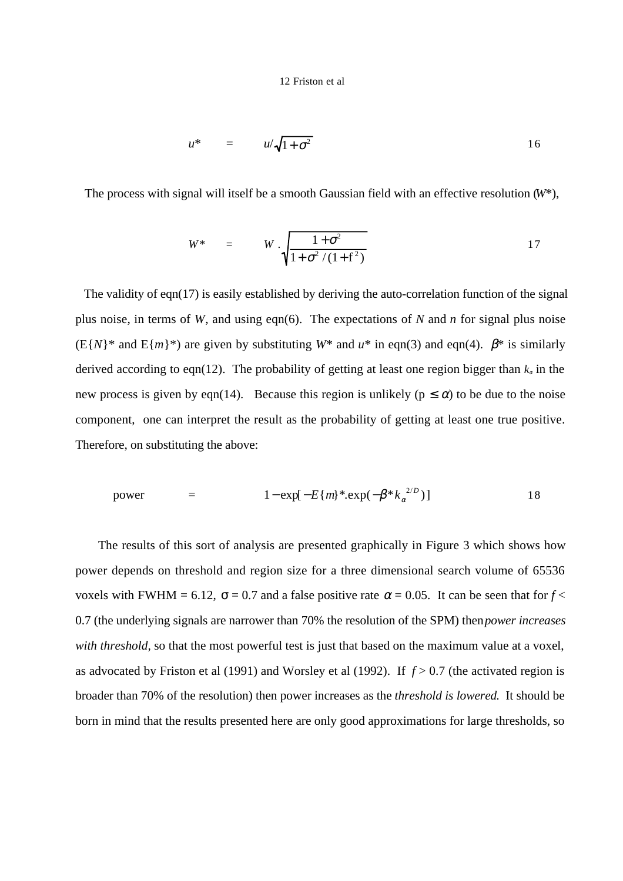$$
u^* = u/\sqrt{1+\sigma^2} \qquad \qquad 16
$$

The process with signal will itself be a smooth Gaussian field with an effective resolution (*W*\*),

$$
W^* = W \cdot \sqrt{\frac{1+\sigma^2}{1+\sigma^2/(1+f^2)}}
$$
 17

The validity of eqn(17) is easily established by deriving the auto-correlation function of the signal plus noise, in terms of *W*, and using eqn(6). The expectations of *N* and *n* for signal plus noise  $(E{N}^*$  and  $E{m}^*)$  are given by substituting  $W^*$  and  $u^*$  in eqn(3) and eqn(4).  $\beta^*$  is similarly derived according to eqn(12). The probability of getting at least one region bigger than  $k_{\alpha}$  in the new process is given by eqn(14). Because this region is unlikely ( $p \le \alpha$ ) to be due to the noise component, one can interpret the result as the probability of getting at least one true positive. Therefore, on substituting the above:

power = 
$$
1 - \exp[-E\{m\} * . \exp(-\beta * k_{\alpha}^{2/D})]
$$
 18

 The results of this sort of analysis are presented graphically in Figure 3 which shows how power depends on threshold and region size for a three dimensional search volume of 65536 voxels with FWHM = 6.12,  $\sigma$  = 0.7 and a false positive rate  $\alpha$  = 0.05. It can be seen that for  $f$  < 0.7 (the underlying signals are narrower than 70% the resolution of the SPM) then *power increases with threshold,* so that the most powerful test is just that based on the maximum value at a voxel, as advocated by Friston et al (1991) and Worsley et al (1992). If *f* > 0.7 (the activated region is broader than 70% of the resolution) then power increases as the *threshold is lowered*. It should be born in mind that the results presented here are only good approximations for large thresholds, so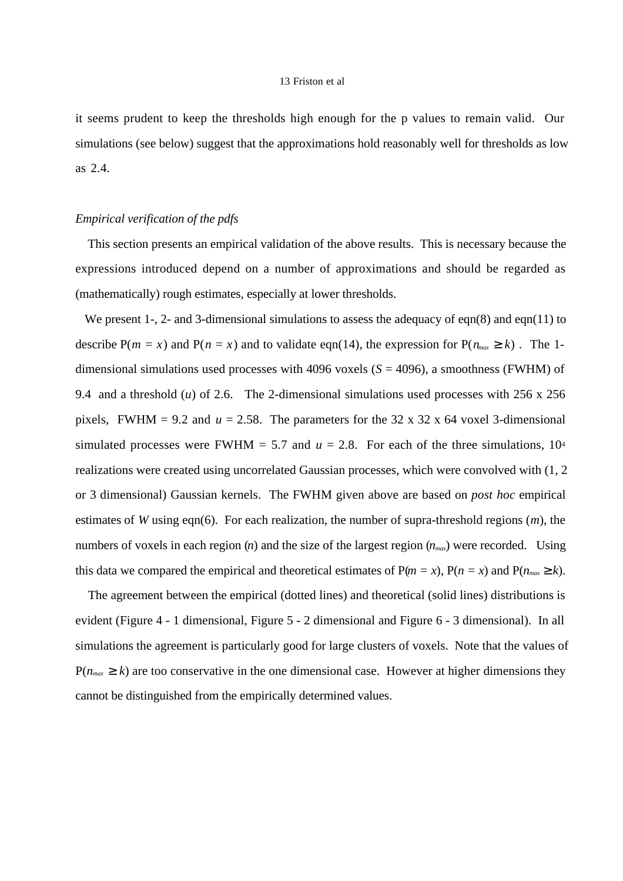it seems prudent to keep the thresholds high enough for the p values to remain valid. Our simulations (see below) suggest that the approximations hold reasonably well for thresholds as low as 2.4.

## *Empirical verification of the pdfs*

 This section presents an empirical validation of the above results. This is necessary because the expressions introduced depend on a number of approximations and should be regarded as (mathematically) rough estimates, especially at lower thresholds.

We present 1-, 2- and 3-dimensional simulations to assess the adequacy of eqn(8) and eqn(11) to describe  $P(m = x)$  and  $P(n = x)$  and to validate eqn(14), the expression for  $P(n_{max} \ge k)$ . The 1dimensional simulations used processes with 4096 voxels (*S* = 4096), a smoothness (FWHM) of 9.4 and a threshold (*u*) of 2.6. The 2-dimensional simulations used processes with 256 x 256 pixels, FWHM = 9.2 and  $u = 2.58$ . The parameters for the 32 x 32 x 64 voxel 3-dimensional simulated processes were FWHM = 5.7 and  $u = 2.8$ . For each of the three simulations, 10<sup>4</sup> realizations were created using uncorrelated Gaussian processes, which were convolved with (1, 2 or 3 dimensional) Gaussian kernels. The FWHM given above are based on *post hoc* empirical estimates of *W* using eqn(6). For each realization, the number of supra-threshold regions (*m*), the numbers of voxels in each region (*n*) and the size of the largest region ( $n_{max}$ ) were recorded. Using this data we compared the empirical and theoretical estimates of  $P(m = x)$ ,  $P(n = x)$  and  $P(n_{max} \ge k)$ .

 The agreement between the empirical (dotted lines) and theoretical (solid lines) distributions is evident (Figure 4 - 1 dimensional, Figure 5 - 2 dimensional and Figure 6 - 3 dimensional). In all simulations the agreement is particularly good for large clusters of voxels. Note that the values of  $P(n_{max} \ge k)$  are too conservative in the one dimensional case. However at higher dimensions they cannot be distinguished from the empirically determined values.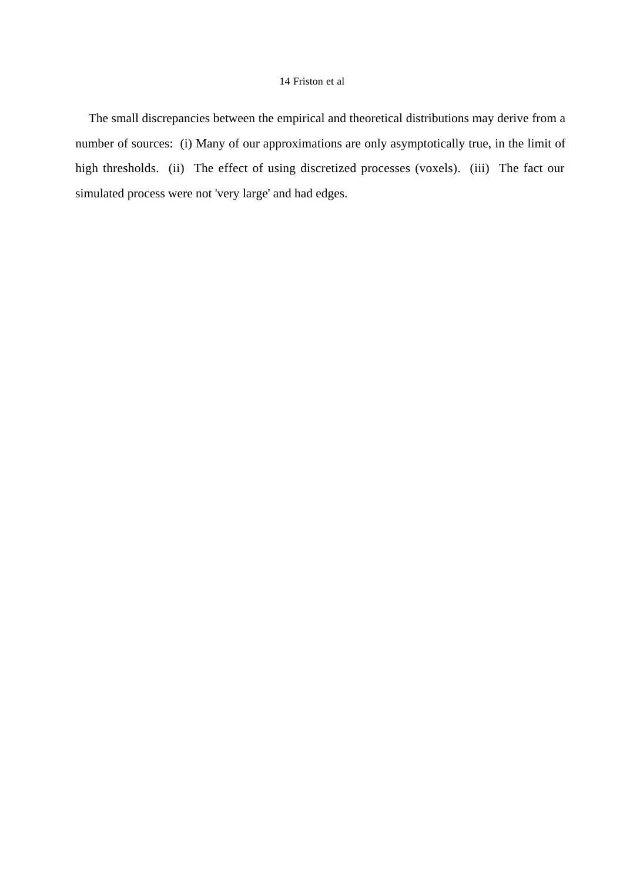The small discrepancies between the empirical and theoretical distributions may derive from a number of sources: (i) Many of our approximations are only asymptotically true, in the limit of high thresholds. (ii) The effect of using discretized processes (voxels). (iii) The fact our simulated process were not 'very large' and had edges.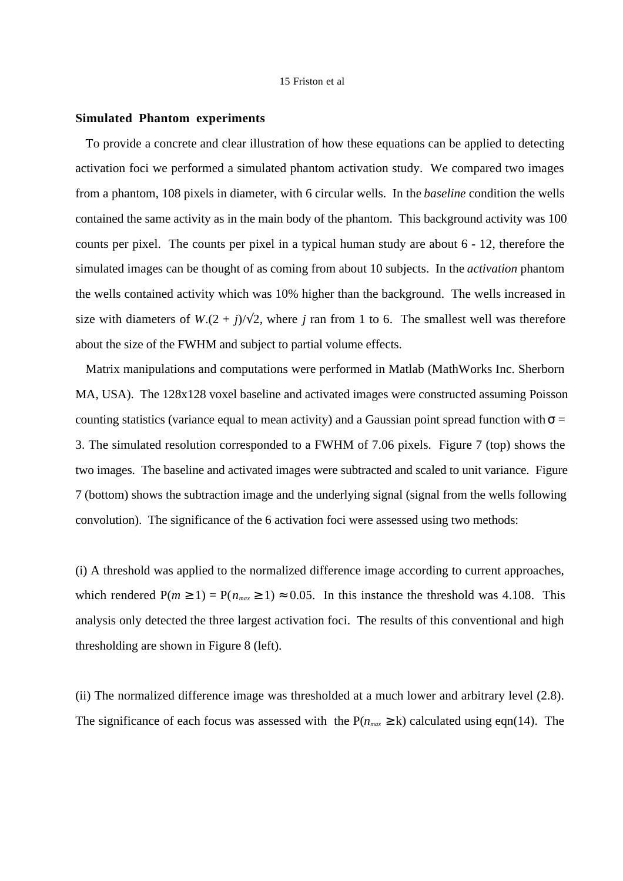#### **Simulated Phantom experiments**

 To provide a concrete and clear illustration of how these equations can be applied to detecting activation foci we performed a simulated phantom activation study. We compared two images from a phantom, 108 pixels in diameter, with 6 circular wells. In the *baseline* condition the wells contained the same activity as in the main body of the phantom. This background activity was 100 counts per pixel. The counts per pixel in a typical human study are about 6 - 12, therefore the simulated images can be thought of as coming from about 10 subjects. In the *activation* phantom the wells contained activity which was 10% higher than the background. The wells increased in size with diameters of  $W.(2 + i)/\sqrt{2}$ , where *j* ran from 1 to 6. The smallest well was therefore about the size of the FWHM and subject to partial volume effects.

 Matrix manipulations and computations were performed in Matlab (MathWorks Inc. Sherborn MA, USA). The 128x128 voxel baseline and activated images were constructed assuming Poisson counting statistics (variance equal to mean activity) and a Gaussian point spread function with  $\sigma$  = 3. The simulated resolution corresponded to a FWHM of 7.06 pixels. Figure 7 (top) shows the two images. The baseline and activated images were subtracted and scaled to unit variance. Figure 7 (bottom) shows the subtraction image and the underlying signal (signal from the wells following convolution). The significance of the 6 activation foci were assessed using two methods:

(i) A threshold was applied to the normalized difference image according to current approaches, which rendered  $P(m \ge 1) = P(n_{max} \ge 1) \approx 0.05$ . In this instance the threshold was 4.108. This analysis only detected the three largest activation foci. The results of this conventional and high thresholding are shown in Figure 8 (left).

(ii) The normalized difference image was thresholded at a much lower and arbitrary level (2.8). The significance of each focus was assessed with the  $P(n_{max} \ge k)$  calculated using eqn(14). The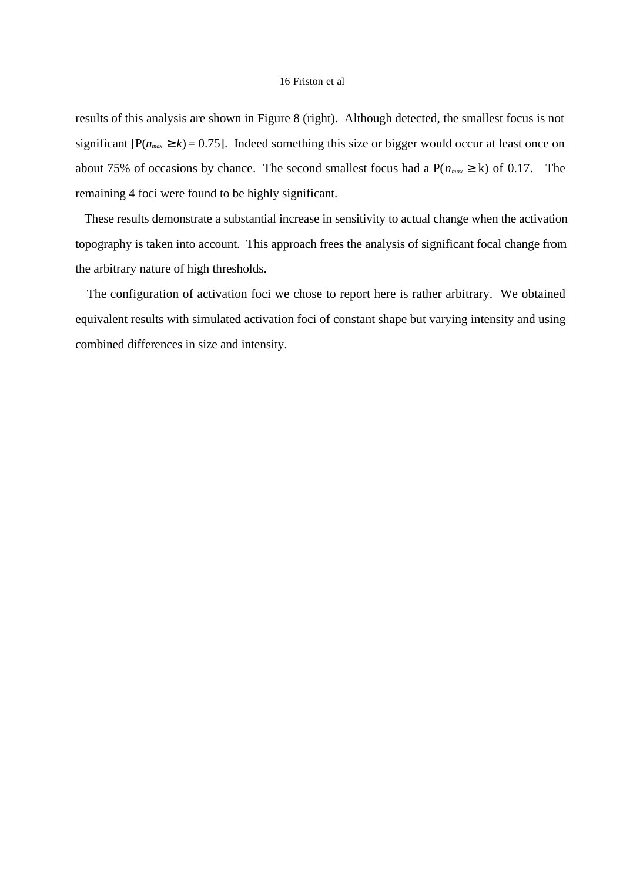results of this analysis are shown in Figure 8 (right). Although detected, the smallest focus is not significant  $[P(n_{max} \ge k) = 0.75]$ . Indeed something this size or bigger would occur at least once on about 75% of occasions by chance. The second smallest focus had a  $P(n_{max} \ge k)$  of 0.17. The remaining 4 foci were found to be highly significant.

 These results demonstrate a substantial increase in sensitivity to actual change when the activation topography is taken into account. This approach frees the analysis of significant focal change from the arbitrary nature of high thresholds.

 The configuration of activation foci we chose to report here is rather arbitrary. We obtained equivalent results with simulated activation foci of constant shape but varying intensity and using combined differences in size and intensity.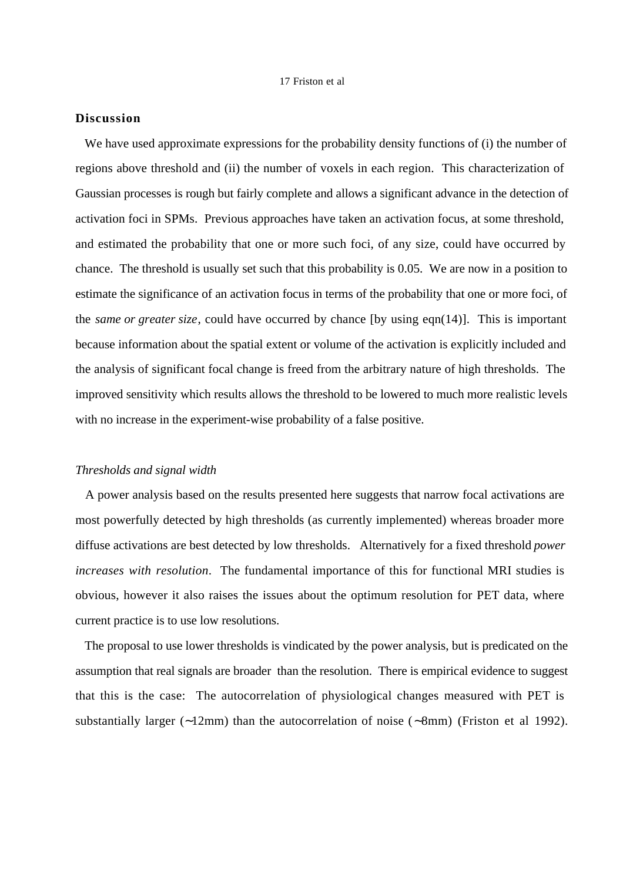# **Discussion**

We have used approximate expressions for the probability density functions of (i) the number of regions above threshold and (ii) the number of voxels in each region. This characterization of Gaussian processes is rough but fairly complete and allows a significant advance in the detection of activation foci in SPMs. Previous approaches have taken an activation focus, at some threshold, and estimated the probability that one or more such foci, of any size, could have occurred by chance. The threshold is usually set such that this probability is 0.05. We are now in a position to estimate the significance of an activation focus in terms of the probability that one or more foci, of the *same or greater size*, could have occurred by chance [by using eqn(14)]. This is important because information about the spatial extent or volume of the activation is explicitly included and the analysis of significant focal change is freed from the arbitrary nature of high thresholds. The improved sensitivity which results allows the threshold to be lowered to much more realistic levels with no increase in the experiment-wise probability of a false positive.

## *Thresholds and signal width*

 A power analysis based on the results presented here suggests that narrow focal activations are most powerfully detected by high thresholds (as currently implemented) whereas broader more diffuse activations are best detected by low thresholds. Alternatively for a fixed threshold *power increases with resolution*. The fundamental importance of this for functional MRI studies is obvious, however it also raises the issues about the optimum resolution for PET data, where current practice is to use low resolutions.

 The proposal to use lower thresholds is vindicated by the power analysis, but is predicated on the assumption that real signals are broader than the resolution. There is empirical evidence to suggest that this is the case: The autocorrelation of physiological changes measured with PET is substantially larger (∼12mm) than the autocorrelation of noise (∼8mm) (Friston et al 1992).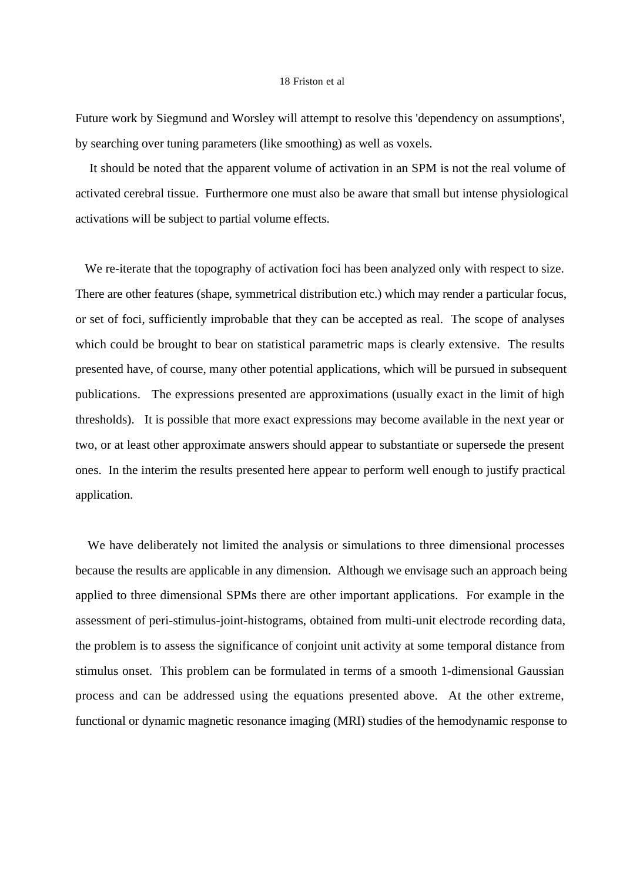Future work by Siegmund and Worsley will attempt to resolve this 'dependency on assumptions', by searching over tuning parameters (like smoothing) as well as voxels.

 It should be noted that the apparent volume of activation in an SPM is not the real volume of activated cerebral tissue. Furthermore one must also be aware that small but intense physiological activations will be subject to partial volume effects.

 We re-iterate that the topography of activation foci has been analyzed only with respect to size. There are other features (shape, symmetrical distribution etc.) which may render a particular focus, or set of foci, sufficiently improbable that they can be accepted as real. The scope of analyses which could be brought to bear on statistical parametric maps is clearly extensive. The results presented have, of course, many other potential applications, which will be pursued in subsequent publications. The expressions presented are approximations (usually exact in the limit of high thresholds). It is possible that more exact expressions may become available in the next year or two, or at least other approximate answers should appear to substantiate or supersede the present ones. In the interim the results presented here appear to perform well enough to justify practical application.

 We have deliberately not limited the analysis or simulations to three dimensional processes because the results are applicable in any dimension. Although we envisage such an approach being applied to three dimensional SPMs there are other important applications. For example in the assessment of peri-stimulus-joint-histograms, obtained from multi-unit electrode recording data, the problem is to assess the significance of conjoint unit activity at some temporal distance from stimulus onset. This problem can be formulated in terms of a smooth 1-dimensional Gaussian process and can be addressed using the equations presented above. At the other extreme, functional or dynamic magnetic resonance imaging (MRI) studies of the hemodynamic response to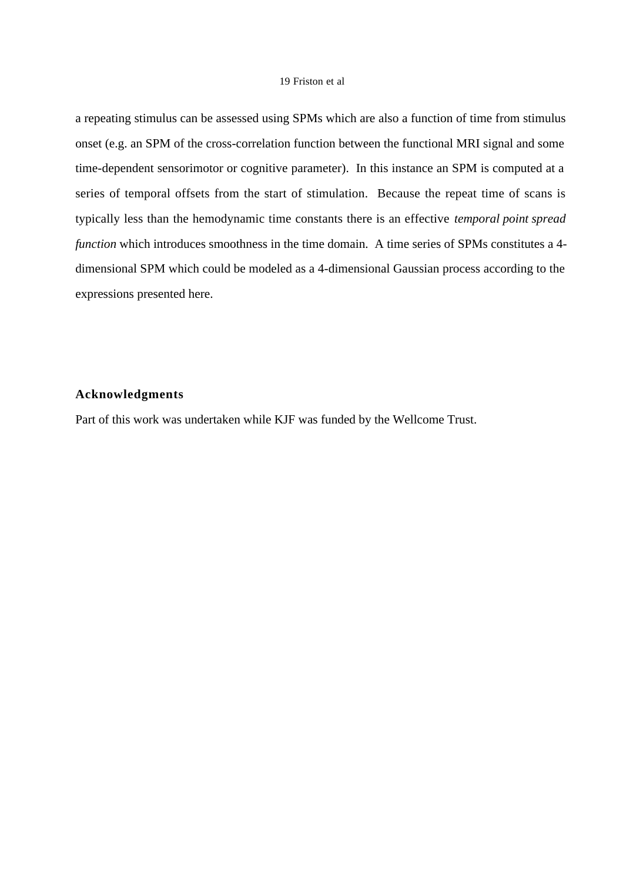a repeating stimulus can be assessed using SPMs which are also a function of time from stimulus onset (e.g. an SPM of the cross-correlation function between the functional MRI signal and some time-dependent sensorimotor or cognitive parameter). In this instance an SPM is computed at a series of temporal offsets from the start of stimulation. Because the repeat time of scans is typically less than the hemodynamic time constants there is an effective *temporal point spread function* which introduces smoothness in the time domain. A time series of SPMs constitutes a 4dimensional SPM which could be modeled as a 4-dimensional Gaussian process according to the expressions presented here.

# **Acknowledgments**

Part of this work was undertaken while KJF was funded by the Wellcome Trust.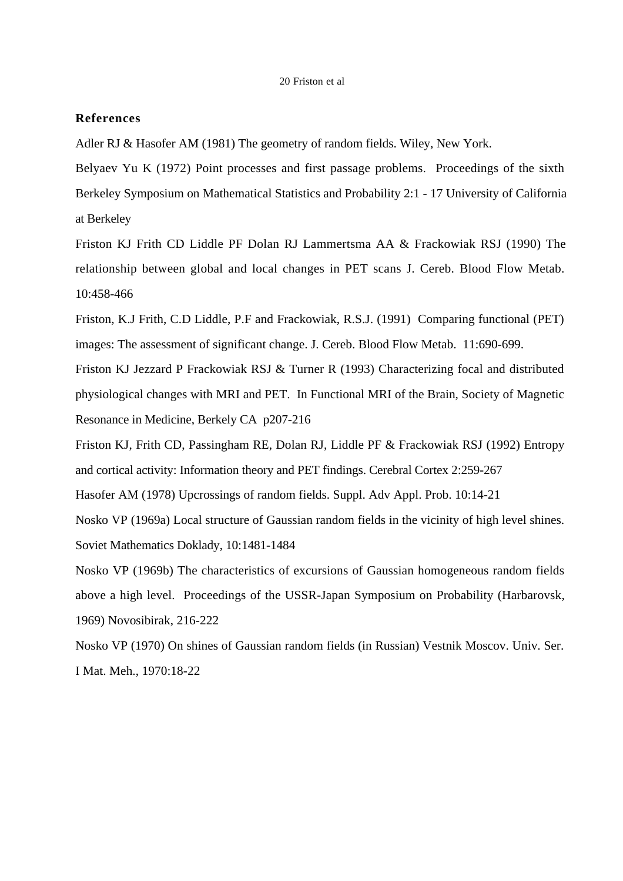# **References**

Adler RJ & Hasofer AM (1981) The geometry of random fields. Wiley, New York.

Belyaev Yu K (1972) Point processes and first passage problems. Proceedings of the sixth Berkeley Symposium on Mathematical Statistics and Probability 2:1 - 17 University of California at Berkeley

Friston KJ Frith CD Liddle PF Dolan RJ Lammertsma AA & Frackowiak RSJ (1990) The relationship between global and local changes in PET scans J. Cereb. Blood Flow Metab. 10:458-466

Friston, K.J Frith, C.D Liddle, P.F and Frackowiak, R.S.J. (1991) Comparing functional (PET) images: The assessment of significant change. J. Cereb. Blood Flow Metab. 11:690-699.

Friston KJ Jezzard P Frackowiak RSJ & Turner R (1993) Characterizing focal and distributed physiological changes with MRI and PET. In Functional MRI of the Brain, Society of Magnetic Resonance in Medicine, Berkely CA p207-216

Friston KJ, Frith CD, Passingham RE, Dolan RJ, Liddle PF & Frackowiak RSJ (1992) Entropy and cortical activity: Information theory and PET findings. Cerebral Cortex 2:259-267 Hasofer AM (1978) Upcrossings of random fields. Suppl. Adv Appl. Prob. 10:14-21

Nosko VP (1969a) Local structure of Gaussian random fields in the vicinity of high level shines. Soviet Mathematics Doklady, 10:1481-1484

Nosko VP (1969b) The characteristics of excursions of Gaussian homogeneous random fields above a high level. Proceedings of the USSR-Japan Symposium on Probability (Harbarovsk, 1969) Novosibirak, 216-222

Nosko VP (1970) On shines of Gaussian random fields (in Russian) Vestnik Moscov. Univ. Ser. I Mat. Meh., 1970:18-22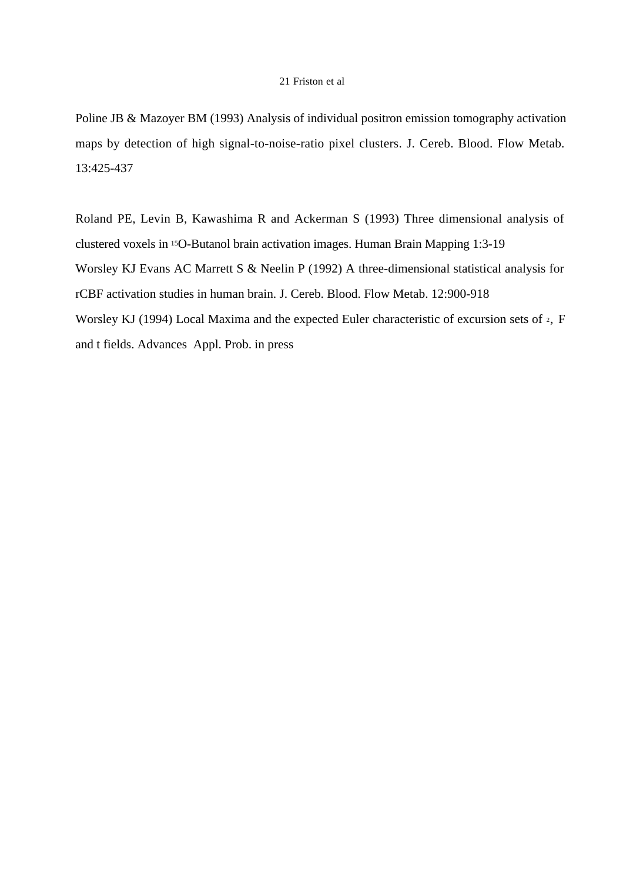Poline JB & Mazoyer BM (1993) Analysis of individual positron emission tomography activation maps by detection of high signal-to-noise-ratio pixel clusters. J. Cereb. Blood. Flow Metab. 13:425-437

Roland PE, Levin B, Kawashima R and Ackerman S (1993) Three dimensional analysis of clustered voxels in 15O-Butanol brain activation images. Human Brain Mapping 1:3-19 Worsley KJ Evans AC Marrett S & Neelin P (1992) A three-dimensional statistical analysis for rCBF activation studies in human brain. J. Cereb. Blood. Flow Metab. 12:900-918 Worsley KJ (1994) Local Maxima and the expected Euler characteristic of excursion sets of 2, F and t fields. Advances Appl. Prob. in press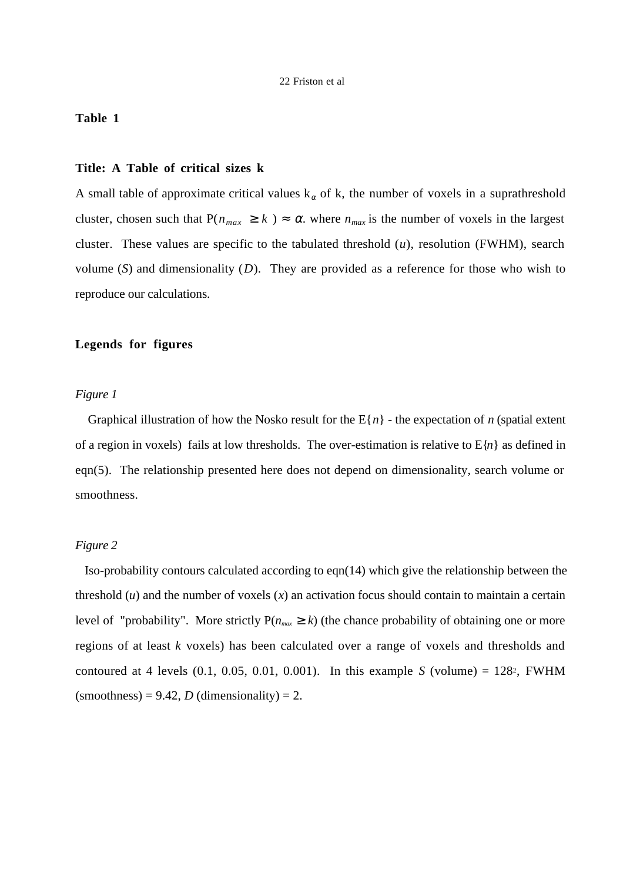# **Table 1**

#### **Title: A Table of critical sizes k**

A small table of approximate critical values  $k_{\alpha}$  of k, the number of voxels in a suprathreshold cluster, chosen such that  $P(n_{max} \ge k) \approx \alpha$ . where  $n_{max}$  is the number of voxels in the largest cluster. These values are specific to the tabulated threshold (*u*), resolution (FWHM), search volume (*S*) and dimensionality (*D*). They are provided as a reference for those who wish to reproduce our calculations.

## **Legends for figures**

## *Figure 1*

Graphical illustration of how the Nosko result for the  $E{n}$  - the expectation of *n* (spatial extent of a region in voxels) fails at low thresholds. The over-estimation is relative to  $E\{n\}$  as defined in eqn(5). The relationship presented here does not depend on dimensionality, search volume or smoothness.

## *Figure 2*

 Iso-probability contours calculated according to eqn(14) which give the relationship between the threshold  $(u)$  and the number of voxels  $(x)$  an activation focus should contain to maintain a certain level of "probability". More strictly  $P(n_{max} \ge k)$  (the chance probability of obtaining one or more regions of at least *k* voxels) has been calculated over a range of voxels and thresholds and contoured at 4 levels  $(0.1, 0.05, 0.01, 0.001)$ . In this example *S* (volume) = 128<sup>2</sup>, FWHM  $(smoothness) = 9.42, D (dimensionality) = 2.$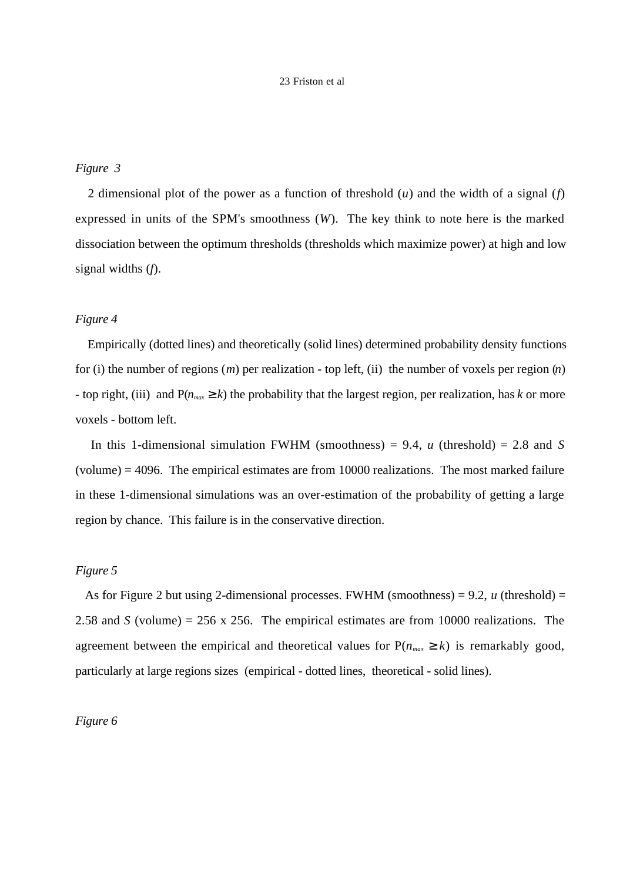# *Figure 3*

 2 dimensional plot of the power as a function of threshold (*u*) and the width of a signal (*f*) expressed in units of the SPM's smoothness (*W*). The key think to note here is the marked dissociation between the optimum thresholds (thresholds which maximize power) at high and low signal widths (*f*).

## *Figure 4*

 Empirically (dotted lines) and theoretically (solid lines) determined probability density functions for (i) the number of regions (*m*) per realization - top left, (ii) the number of voxels per region (*n*) - top right, (iii) and  $P(n_{max} \ge k)$  the probability that the largest region, per realization, has *k* or more voxels - bottom left.

In this 1-dimensional simulation FWHM (smoothness) = 9.4,  $u$  (threshold) = 2.8 and *S* (volume) = 4096. The empirical estimates are from 10000 realizations. The most marked failure in these 1-dimensional simulations was an over-estimation of the probability of getting a large region by chance. This failure is in the conservative direction.

# *Figure 5*

 As for Figure 2 but using 2-dimensional processes. FWHM (smoothness) = 9.2, *u* (threshold) = 2.58 and *S* (volume) = 256 x 256. The empirical estimates are from 10000 realizations. The agreement between the empirical and theoretical values for  $P(n_{max} \ge k)$  is remarkably good, particularly at large regions sizes (empirical - dotted lines, theoretical - solid lines).

# *Figure 6*